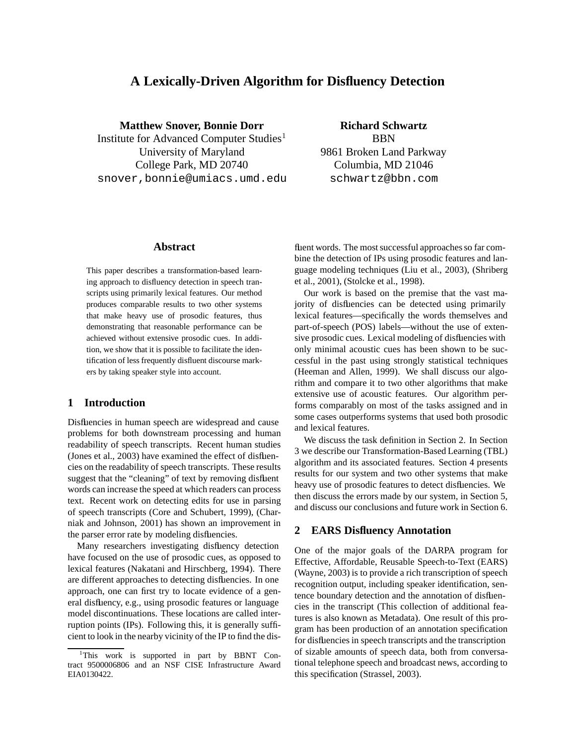# **A Lexically-Driven Algorithm for Disfluency Detection**

**Matthew Snover, Bonnie Dorr** Institute for Advanced Computer Studies<sup>1</sup> University of Maryland College Park, MD 20740 snover,bonnie@umiacs.umd.edu

## **Richard Schwartz**

BBN 9861 Broken Land Parkway Columbia, MD 21046 schwartz@bbn.com

### **Abstract**

This paper describes a transformation-based learning approach to disfluency detection in speech transcripts using primarily lexical features. Our method produces comparable results to two other systems that make heavy use of prosodic features, thus demonstrating that reasonable performance can be achieved without extensive prosodic cues. In addition, we show that it is possible to facilitate the identification of less frequently disfluent discourse markers by taking speaker style into account.

### **1 Introduction**

Disfluencies in human speech are widespread and cause problems for both downstream processing and human readability of speech transcripts. Recent human studies (Jones et al., 2003) have examined the effect of disfluencies on the readability of speech transcripts. These results suggest that the "cleaning" of text by removing disfluent words can increase the speed at which readers can process text. Recent work on detecting edits for use in parsing of speech transcripts (Core and Schubert, 1999), (Charniak and Johnson, 2001) has shown an improvement in the parser error rate by modeling disfluencies.

Many researchers investigating disfluency detection have focused on the use of prosodic cues, as opposed to lexical features (Nakatani and Hirschberg, 1994). There are different approaches to detecting disfluencies. In one approach, one can first try to locate evidence of a general disfluency, e.g., using prosodic features or language model discontinuations. These locations are called interruption points (IPs). Following this, it is generally sufficient to look in the nearby vicinity of the IP to find the disfluent words. The most successful approaches so far combine the detection of IPs using prosodic features and language modeling techniques (Liu et al., 2003), (Shriberg et al., 2001), (Stolcke et al., 1998).

Our work is based on the premise that the vast majority of disfluencies can be detected using primarily lexical features—specifically the words themselves and part-of-speech (POS) labels—without the use of extensive prosodic cues. Lexical modeling of disfluencies with only minimal acoustic cues has been shown to be successful in the past using strongly statistical techniques (Heeman and Allen, 1999). We shall discuss our algorithm and compare it to two other algorithms that make extensive use of acoustic features. Our algorithm performs comparably on most of the tasks assigned and in some cases outperforms systems that used both prosodic and lexical features.

We discuss the task definition in Section 2. In Section 3 we describe our Transformation-Based Learning (TBL) algorithm and its associated features. Section 4 presents results for our system and two other systems that make heavy use of prosodic features to detect disfluencies. We then discuss the errors made by our system, in Section 5, and discuss our conclusions and future work in Section 6.

### **2 EARS Disfluency Annotation**

One of the major goals of the DARPA program for Effective, Affordable, Reusable Speech-to-Text (EARS) (Wayne, 2003) is to provide a rich transcription of speech recognition output, including speaker identification, sentence boundary detection and the annotation of disfluencies in the transcript (This collection of additional features is also known as Metadata). One result of this program has been production of an annotation specification for disfluencies in speech transcripts and the transcription of sizable amounts of speech data, both from conversational telephone speech and broadcast news, according to this specification (Strassel, 2003).

<sup>&</sup>lt;sup>1</sup>This work is supported in part by BBNT Contract 9500006806 and an NSF CISE Infrastructure Award EIA0130422.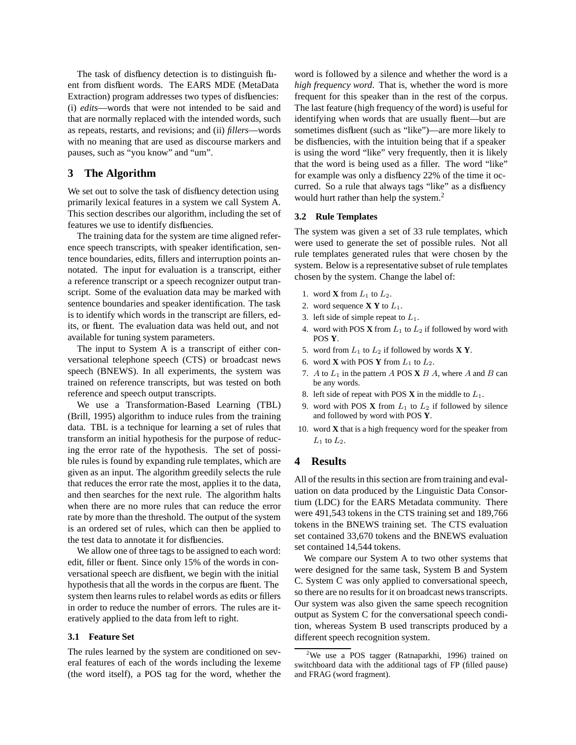The task of disfluency detection is to distinguish fluent from disfluent words. The EARS MDE (MetaData Extraction) program addresses two types of disfluencies: (i) *edits*—words that were not intended to be said and that are normally replaced with the intended words, such as repeats, restarts, and revisions; and (ii) *fillers*—words with no meaning that are used as discourse markers and pauses, such as "you know" and "um".

### **3 The Algorithm**

We set out to solve the task of disfluency detection using primarily lexical features in a system we call System A. This section describes our algorithm, including the set of features we use to identify disfluencies.

The training data for the system are time aligned reference speech transcripts, with speaker identification, sentence boundaries, edits, fillers and interruption points annotated. The input for evaluation is a transcript, either a reference transcript or a speech recognizer output transcript. Some of the evaluation data may be marked with sentence boundaries and speaker identification. The task is to identify which words in the transcript are fillers, edits, or fluent. The evaluation data was held out, and not available for tuning system parameters.

The input to System A is a transcript of either conversational telephone speech (CTS) or broadcast news speech (BNEWS). In all experiments, the system was trained on reference transcripts, but was tested on both reference and speech output transcripts.

We use a Transformation-Based Learning (TBL) (Brill, 1995) algorithm to induce rules from the training data. TBL is a technique for learning a set of rules that transform an initial hypothesis for the purpose of reducing the error rate of the hypothesis. The set of possible rules is found by expanding rule templates, which are given as an input. The algorithm greedily selects the rule that reduces the error rate the most, applies it to the data, and then searches for the next rule. The algorithm halts when there are no more rules that can reduce the error rate by more than the threshold. The output of the system is an ordered set of rules, which can then be applied to the test data to annotate it for disfluencies.

We allow one of three tags to be assigned to each word: edit, filler or fluent. Since only 15% of the words in conversational speech are disfluent, we begin with the initial hypothesis that all the words in the corpus are fluent. The system then learns rules to relabel words as edits or fillers in order to reduce the number of errors. The rules are iteratively applied to the data from left to right.

#### **3.1 Feature Set**

The rules learned by the system are conditioned on several features of each of the words including the lexeme (the word itself), a POS tag for the word, whether the word is followed by a silence and whether the word is a *high frequency word*. That is, whether the word is more frequent for this speaker than in the rest of the corpus. The last feature (high frequency of the word) is useful for identifying when words that are usually fluent—but are sometimes disfluent (such as "like")—are more likely to be disfluencies, with the intuition being that if a speaker is using the word "like" very frequently, then it is likely that the word is being used as a filler. The word "like" for example was only a disfluency 22% of the time it occurred. So a rule that always tags "like" as a disfluency would hurt rather than help the system.<sup>2</sup>

#### **3.2 Rule Templates**

The system was given a set of 33 rule templates, which were used to generate the set of possible rules. Not all rule templates generated rules that were chosen by the system. Below is a representative subset of rule templates chosen by the system. Change the label of:

- 1. word **X** from  $L_1$  to  $L_2$ .
- 2. word sequence  $X Y$  to  $L_1$ .
- 3. left side of simple repeat to  $L_1$ .
- 4. word with POS  $X$  from  $L_1$  to  $L_2$  if followed by word with POS **Y**.
- 5. word from  $L_1$  to  $L_2$  if followed by words **X Y**.
- 6. word **X** with POS **Y** from  $L_1$  to  $L_2$ .
- 7. A to  $L_1$  in the pattern A POS **X**  $B$  A, where A and  $B$  can be any words.
- 8. left side of repeat with POS  $\bf{X}$  in the middle to  $L_1$ .
- 9. word with POS **X** from  $L_1$  to  $L_2$  if followed by silence and followed by word with POS **Y**.
- 10. word **X** that is a high frequency word for the speaker from  $L_1$  to  $L_2$ .

### **4 Results**

All of the results in this section are from training and evaluation on data produced by the Linguistic Data Consortium (LDC) for the EARS Metadata community. There were 491,543 tokens in the CTS training set and 189,766 tokens in the BNEWS training set. The CTS evaluation set contained 33,670 tokens and the BNEWS evaluation set contained 14,544 tokens.

We compare our System A to two other systems that were designed for the same task, System B and System C. System C was only applied to conversational speech, so there are no results for it on broadcast news transcripts. Our system was also given the same speech recognition output as System C for the conversational speech condition, whereas System B used transcripts produced by a different speech recognition system.

<sup>2</sup>We use a POS tagger (Ratnaparkhi, 1996) trained on switchboard data with the additional tags of FP (filled pause) and FRAG (word fragment).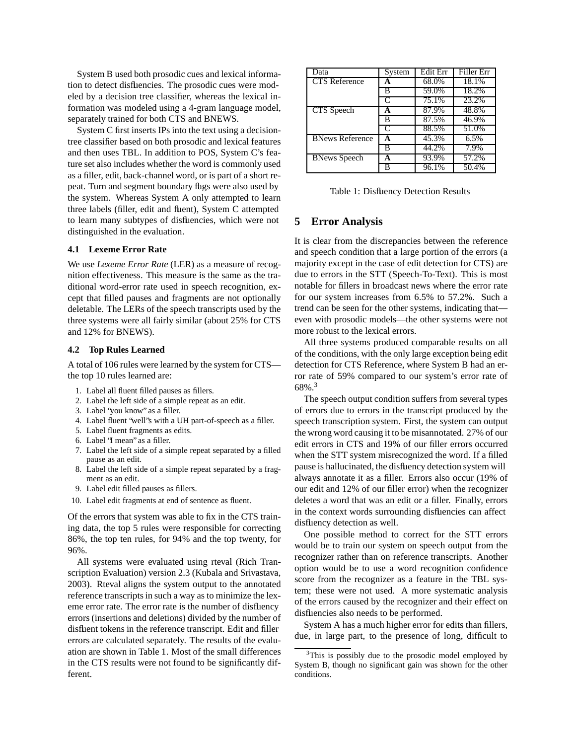System B used both prosodic cues and lexical information to detect disfluencies. The prosodic cues were modeled by a decision tree classifier, whereas the lexical information was modeled using a 4-gram language model, separately trained for both CTS and BNEWS.

System C first inserts IPs into the text using a decisiontree classifier based on both prosodic and lexical features and then uses TBL. In addition to POS, System C's feature set also includes whether the word is commonly used as a filler, edit, back-channel word, or is part of a short repeat. Turn and segment boundary flags were also used by the system. Whereas System A only attempted to learn three labels (filler, edit and fluent), System C attempted to learn many subtypes of disfluencies, which were not distinguished in the evaluation.

#### **4.1 Lexeme Error Rate**

We use *Lexeme Error Rate* (LER) as a measure of recognition effectiveness. This measure is the same as the traditional word-error rate used in speech recognition, except that filled pauses and fragments are not optionally deletable. The LERs of the speech transcripts used by the three systems were all fairly similar (about 25% for CTS and 12% for BNEWS).

#### **4.2 Top Rules Learned**

A total of 106 rules were learned by the system for CTS the top 10 rules learned are:

- 1. Label all fluent filled pauses as fillers.
- 2. Label the left side of a simple repeat as an edit.
- 3. Label "you know" as a filler.
- 4. Label fluent "well"s with a UH part-of-speech as a filler.
- 5. Label fluent fragments as edits.
- 6. Label "I mean" as a filler.
- 7. Label the left side of a simple repeat separated by a filled pause as an edit.
- 8. Label the left side of a simple repeat separated by a fragment as an edit.
- 9. Label edit filled pauses as fillers.
- 10. Label edit fragments at end of sentence as fluent.

Of the errors that system was able to fix in the CTS training data, the top 5 rules were responsible for correcting 86%, the top ten rules, for 94% and the top twenty, for 96%.

All systems were evaluated using rteval (Rich Transcription Evaluation) version 2.3 (Kubala and Srivastava, 2003). Rteval aligns the system output to the annotated reference transcripts in such a way as to minimize the lexeme error rate. The error rate is the number of disfluency errors (insertions and deletions) divided by the number of disfluent tokens in the reference transcript. Edit and filler errors are calculated separately. The results of the evaluation are shown in Table 1. Most of the small differences in the CTS results were not found to be significantly different.

| Data                   | System | Edit Err | Filler Err |
|------------------------|--------|----------|------------|
| <b>CTS</b> Reference   |        | 68.0%    | 18.1%      |
|                        | в      | 59.0%    | 18.2%      |
|                        | C      | 75.1%    | 23.2%      |
| CTS Speech             | A      | 87.9%    | 48.8%      |
|                        | B      | 87.5%    | 46.9%      |
|                        | C      | 88.5%    | 51.0%      |
| <b>BNews Reference</b> | A      | 45.3%    | 6.5%       |
|                        | в      | 44.2%    | 7.9%       |
| <b>BNews Speech</b>    | A      | 93.9%    | 57.2%      |
|                        | в      | 96.1%    | 50.4%      |

Table 1: Disfluency Detection Results

### **5 Error Analysis**

It is clear from the discrepancies between the reference and speech condition that a large portion of the errors (a majority except in the case of edit detection for CTS) are due to errors in the STT (Speech-To-Text). This is most notable for fillers in broadcast news where the error rate for our system increases from 6.5% to 57.2%. Such a trend can be seen for the other systems, indicating that even with prosodic models—the other systems were not more robust to the lexical errors.

All three systems produced comparable results on all of the conditions, with the only large exception being edit detection for CTS Reference, where System B had an error rate of 59% compared to our system's error rate of 68%.<sup>3</sup>

The speech output condition suffers from several types of errors due to errors in the transcript produced by the speech transcription system. First, the system can output the wrong word causing it to be misannotated. 27% of our edit errors in CTS and 19% of our filler errors occurred when the STT system misrecognized the word. If a filled pause is hallucinated, the disfluency detection system will always annotate it as a filler. Errors also occur (19% of our edit and 12% of our filler error) when the recognizer deletes a word that was an edit or a filler. Finally, errors in the context words surrounding disfluencies can affect disfluency detection as well.

One possible method to correct for the STT errors would be to train our system on speech output from the recognizer rather than on reference transcripts. Another option would be to use a word recognition confidence score from the recognizer as a feature in the TBL system; these were not used. A more systematic analysis of the errors caused by the recognizer and their effect on disfluencies also needs to be performed.

System A has a much higher error for edits than fillers, due, in large part, to the presence of long, difficult to

 $3$ This is possibly due to the prosodic model employed by System B, though no significant gain was shown for the other conditions.